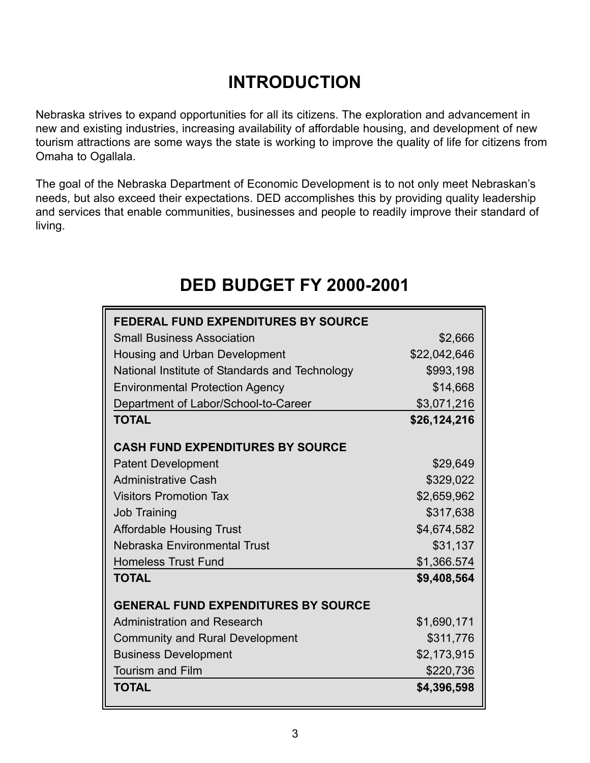## **INTRODUCTION**

Nebraska strives to expand opportunities for all its citizens. The exploration and advancement in new and existing industries, increasing availability of affordable housing, and development of new tourism attractions are some ways the state is working to improve the quality of life for citizens from Omaha to Ogallala.

The goal of the Nebraska Department of Economic Development is to not only meet Nebraskan's needs, but also exceed their expectations. DED accomplishes this by providing quality leadership and services that enable communities, businesses and people to readily improve their standard of living.

## **DED BUDGET FY 2000-2001**

| <b>FEDERAL FUND EXPENDITURES BY SOURCE</b>     |              |
|------------------------------------------------|--------------|
| <b>Small Business Association</b>              | \$2,666      |
| Housing and Urban Development                  | \$22,042,646 |
| National Institute of Standards and Technology | \$993,198    |
| <b>Environmental Protection Agency</b>         | \$14,668     |
| Department of Labor/School-to-Career           | \$3,071,216  |
| <b>TOTAL</b>                                   | \$26,124,216 |
| <b>CASH FUND EXPENDITURES BY SOURCE</b>        |              |
| <b>Patent Development</b>                      | \$29,649     |
| <b>Administrative Cash</b>                     | \$329,022    |
| <b>Visitors Promotion Tax</b>                  | \$2,659,962  |
| <b>Job Training</b>                            | \$317,638    |
| <b>Affordable Housing Trust</b>                | \$4,674,582  |
| Nebraska Environmental Trust                   | \$31,137     |
| <b>Homeless Trust Fund</b>                     | \$1,366.574  |
| <b>TOTAL</b>                                   | \$9,408,564  |
| <b>GENERAL FUND EXPENDITURES BY SOURCE</b>     |              |
| <b>Administration and Research</b>             | \$1,690,171  |
| <b>Community and Rural Development</b>         | \$311,776    |
| <b>Business Development</b>                    | \$2,173,915  |
| <b>Tourism and Film</b>                        | \$220,736    |
| <b>TOTAL</b>                                   | \$4,396,598  |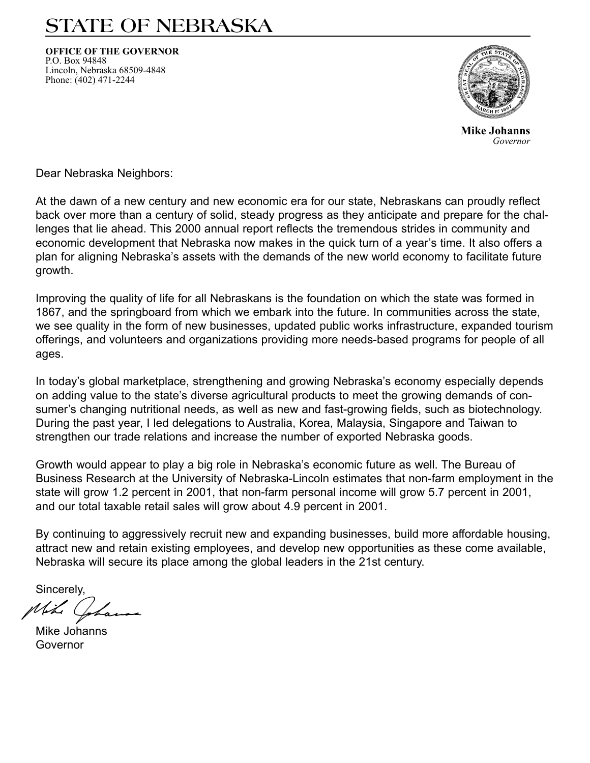# STATE OF NEBRASKA

**OFFICE OF THE GOVERNOR** P.O. Box 94848 Lincoln, Nebraska 68509-4848 Phone: (402) 471-2244



**Mike Johanns** *--*

Dear Nebraska Neighbors:

At the dawn of a new century and new economic era for our state, Nebraskans can proudly reflect back over more than a century of solid, steady progress as they anticipate and prepare for the challenges that lie ahead. This 2000 annual report reflects the tremendous strides in community and economic development that Nebraska now makes in the quick turn of a year's time. It also offers a plan for aligning Nebraska's assets with the demands of the new world economy to facilitate future growth.

Improving the quality of life for all Nebraskans is the foundation on which the state was formed in 1867, and the springboard from which we embark into the future. In communities across the state, we see quality in the form of new businesses, updated public works infrastructure, expanded tourism offerings, and volunteers and organizations providing more needs-based programs for people of all ages.

In today's global marketplace, strengthening and growing Nebraska's economy especially depends on adding value to the state's diverse agricultural products to meet the growing demands of consumer's changing nutritional needs, as well as new and fast-growing fields, such as biotechnology. During the past year, I led delegations to Australia, Korea, Malaysia, Singapore and Taiwan to strengthen our trade relations and increase the number of exported Nebraska goods.

Growth would appear to play a big role in Nebraska's economic future as well. The Bureau of Business Research at the University of Nebraska-Lincoln estimates that non-farm employment in the state will grow 1.2 percent in 2001, that non-farm personal income will grow 5.7 percent in 2001, and our total taxable retail sales will grow about 4.9 percent in 2001.

By continuing to aggressively recruit new and expanding businesses, build more affordable housing, attract new and retain existing employees, and develop new opportunities as these come available, Nebraska will secure its place among the global leaders in the 21st century.

Sincerely,

Mike Johanns Governor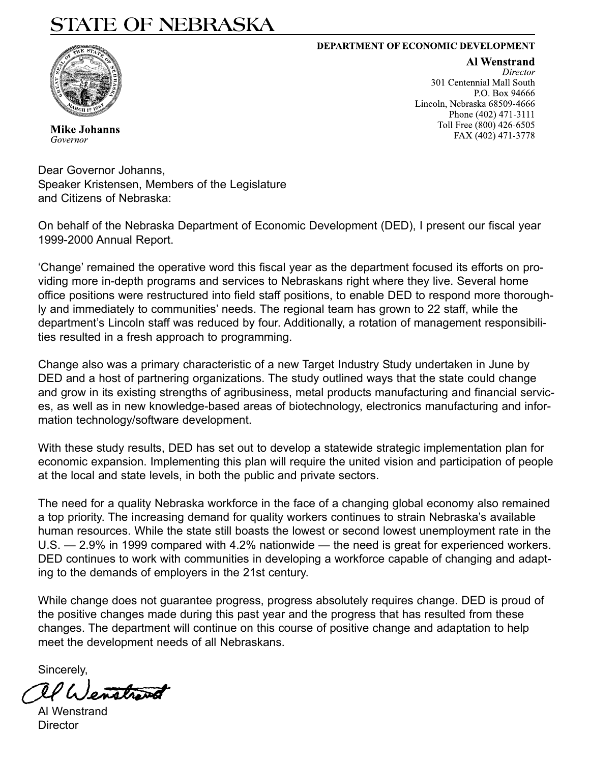# STATE OF NEBRASKA

#### **DEPARTMENT OF ECONOMIC DEVELOPMENT**



Mike Johanns

Governor

**Al Wenstrand Director** 301 Centennial Mall South P.O. Box 94666 Lincoln, Nebraska 68509-4666 Phone (402) 471-3111 Toll Free (800) 426-6505 FAX (402) 471-3778

Dear Governor Johanns, Speaker Kristensen, Members of the Legislature and Citizens of Nebraska:

On behalf of the Nebraska Department of Economic Development (DED), I present our fiscal year 1999-2000 Annual Report.

'Change' remained the operative word this fiscal year as the department focused its efforts on providing more in-depth programs and services to Nebraskans right where they live. Several home office positions were restructured into field staff positions, to enable DED to respond more thoroughly and immediately to communities' needs. The regional team has grown to 22 staff, while the department's Lincoln staff was reduced by four. Additionally, a rotation of management responsibilities resulted in a fresh approach to programming.

Change also was a primary characteristic of a new Target Industry Study undertaken in June by DED and a host of partnering organizations. The study outlined ways that the state could change and grow in its existing strengths of agribusiness, metal products manufacturing and financial services, as well as in new knowledge-based areas of biotechnology, electronics manufacturing and information technology/software development.

With these study results, DED has set out to develop a statewide strategic implementation plan for economic expansion. Implementing this plan will require the united vision and participation of people at the local and state levels, in both the public and private sectors.

The need for a quality Nebraska workforce in the face of a changing global economy also remained a top priority. The increasing demand for quality workers continues to strain Nebraska's available human resources. While the state still boasts the lowest or second lowest unemployment rate in the U.S. — 2.9% in 1999 compared with 4.2% nationwide — the need is great for experienced workers. DED continues to work with communities in developing a workforce capable of changing and adapting to the demands of employers in the 21st century.

While change does not guarantee progress, progress absolutely requires change. DED is proud of the positive changes made during this past year and the progress that has resulted from these changes. The department will continue on this course of positive change and adaptation to help meet the development needs of all Nebraskans.

Sincerely,

Al Wenstrand **Director**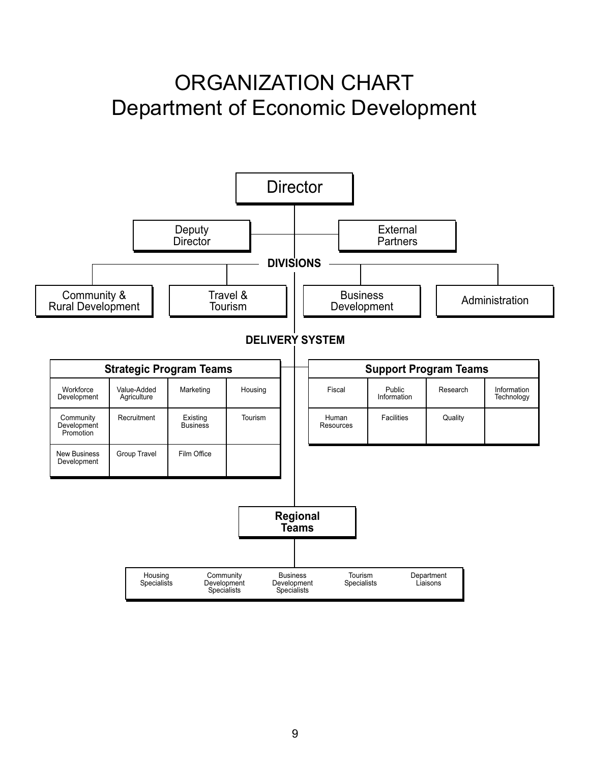# **ORGANIZATION CHART Department of Economic Development**

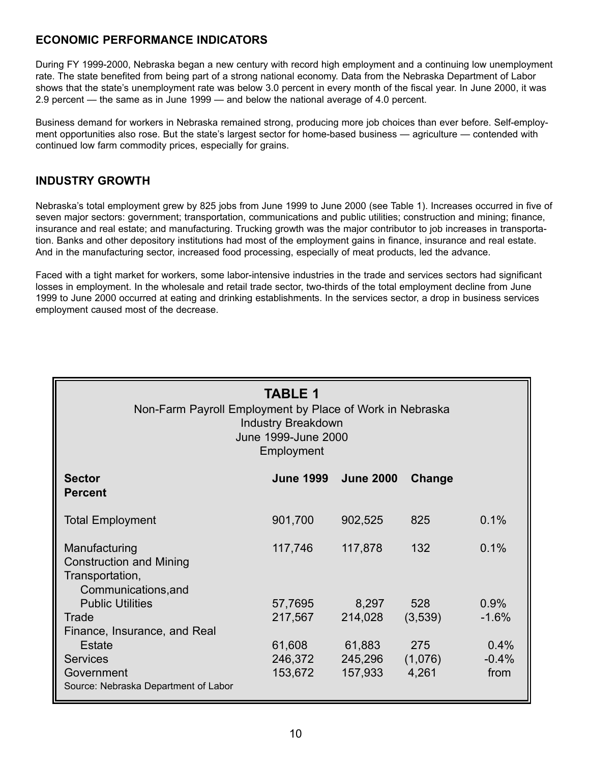#### **ECONOMIC PERFORMANCE INDICATORS**

During FY 1999-2000, Nebraska began a new century with record high employment and a continuing low unemployment rate. The state benefited from being part of a strong national economy. Data from the Nebraska Department of Labor shows that the state's unemployment rate was below 3.0 percent in every month of the fiscal year. In June 2000, it was 2.9 percent — the same as in June 1999 — and below the national average of 4.0 percent.

Business demand for workers in Nebraska remained strong, producing more job choices than ever before. Self-employment opportunities also rose. But the state's largest sector for home-based business — agriculture — contended with continued low farm commodity prices, especially for grains.

#### **INDUSTRY GROWTH**

Nebraska's total employment grew by 825 jobs from June 1999 to June 2000 (see Table 1). Increases occurred in five of seven major sectors: government; transportation, communications and public utilities; construction and mining; finance, insurance and real estate; and manufacturing. Trucking growth was the major contributor to job increases in transportation. Banks and other depository institutions had most of the employment gains in finance, insurance and real estate. And in the manufacturing sector, increased food processing, especially of meat products, led the advance.

Faced with a tight market for workers, some labor-intensive industries in the trade and services sectors had significant losses in employment. In the wholesale and retail trade sector, two-thirds of the total employment decline from June 1999 to June 2000 occurred at eating and drinking establishments. In the services sector, a drop in business services employment caused most of the decrease.

| <b>TABLE 1</b><br>Non-Farm Payroll Employment by Place of Work in Nebraska<br><b>Industry Breakdown</b><br>June 1999-June 2000<br>Employment |                              |                              |                         |                         |  |  |  |  |  |
|----------------------------------------------------------------------------------------------------------------------------------------------|------------------------------|------------------------------|-------------------------|-------------------------|--|--|--|--|--|
| <b>Sector</b><br><b>Percent</b>                                                                                                              | <b>June 1999</b>             | <b>June 2000</b>             | Change                  |                         |  |  |  |  |  |
| <b>Total Employment</b>                                                                                                                      | 901,700                      | 902,525                      | 825                     | 0.1%                    |  |  |  |  |  |
| Manufacturing<br><b>Construction and Mining</b><br>Transportation,<br>Communications, and                                                    | 117,746                      | 117,878                      | 132                     | 0.1%                    |  |  |  |  |  |
| <b>Public Utilities</b><br>Trade<br>Finance, Insurance, and Real                                                                             | 57,7695<br>217,567           | 8,297<br>214,028             | 528<br>(3,539)          | 0.9%<br>$-1.6%$         |  |  |  |  |  |
| Estate<br><b>Services</b><br>Government<br>Source: Nebraska Department of Labor                                                              | 61,608<br>246,372<br>153,672 | 61,883<br>245,296<br>157,933 | 275<br>(1,076)<br>4,261 | 0.4%<br>$-0.4%$<br>from |  |  |  |  |  |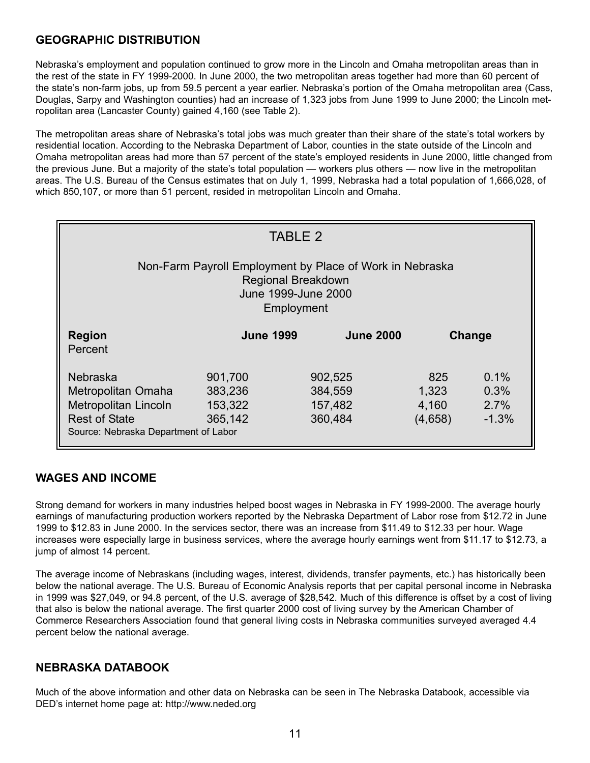### **GEOGRAPHIC DISTRIBUTION**

Nebraska's employment and population continued to grow more in the Lincoln and Omaha metropolitan areas than in the rest of the state in FY 1999-2000. In June 2000, the two metropolitan areas together had more than 60 percent of the state's non-farm jobs, up from 59.5 percent a year earlier. Nebraska's portion of the Omaha metropolitan area (Cass, Douglas, Sarpy and Washington counties) had an increase of 1,323 jobs from June 1999 to June 2000; the Lincoln metropolitan area (Lancaster County) gained 4,160 (see Table 2).

The metropolitan areas share of Nebraska's total jobs was much greater than their share of the state's total workers by residential location. According to the Nebraska Department of Labor, counties in the state outside of the Lincoln and Omaha metropolitan areas had more than 57 percent of the state's employed residents in June 2000, little changed from the previous June. But a majority of the state's total population — workers plus others — now live in the metropolitan areas. The U.S. Bureau of the Census estimates that on July 1, 1999, Nebraska had a total population of 1,666,028, of which 850,107, or more than 51 percent, resided in metropolitan Lincoln and Omaha.

| <b>TABLE 2</b>                                                                                                                |                                          |                                          |                                  |                                 |  |  |  |  |  |
|-------------------------------------------------------------------------------------------------------------------------------|------------------------------------------|------------------------------------------|----------------------------------|---------------------------------|--|--|--|--|--|
| Non-Farm Payroll Employment by Place of Work in Nebraska<br><b>Regional Breakdown</b><br>June 1999-June 2000<br>Employment    |                                          |                                          |                                  |                                 |  |  |  |  |  |
| <b>Region</b><br>Percent                                                                                                      | <b>June 1999</b>                         | <b>June 2000</b>                         | Change                           |                                 |  |  |  |  |  |
| <b>Nebraska</b><br>Metropolitan Omaha<br>Metropolitan Lincoln<br><b>Rest of State</b><br>Source: Nebraska Department of Labor | 901,700<br>383,236<br>153,322<br>365,142 | 902,525<br>384,559<br>157,482<br>360,484 | 825<br>1,323<br>4,160<br>(4,658) | 0.1%<br>0.3%<br>2.7%<br>$-1.3%$ |  |  |  |  |  |

#### **WAGES AND INCOME**

Strong demand for workers in many industries helped boost wages in Nebraska in FY 1999-2000. The average hourly earnings of manufacturing production workers reported by the Nebraska Department of Labor rose from \$12.72 in June 1999 to \$12.83 in June 2000. In the services sector, there was an increase from \$11.49 to \$12.33 per hour. Wage increases were especially large in business services, where the average hourly earnings went from \$11.17 to \$12.73, a jump of almost 14 percent.

The average income of Nebraskans (including wages, interest, dividends, transfer payments, etc.) has historically been below the national average. The U.S. Bureau of Economic Analysis reports that per capital personal income in Nebraska in 1999 was \$27,049, or 94.8 percent, of the U.S. average of \$28,542. Much of this difference is offset by a cost of living that also is below the national average. The first quarter 2000 cost of living survey by the American Chamber of Commerce Researchers Association found that general living costs in Nebraska communities surveyed averaged 4.4 percent below the national average.

### **NEBRASKA DATABOOK**

Much of the above information and other data on Nebraska can be seen in The Nebraska Databook, accessible via DED's internet home page at: http://www.neded.org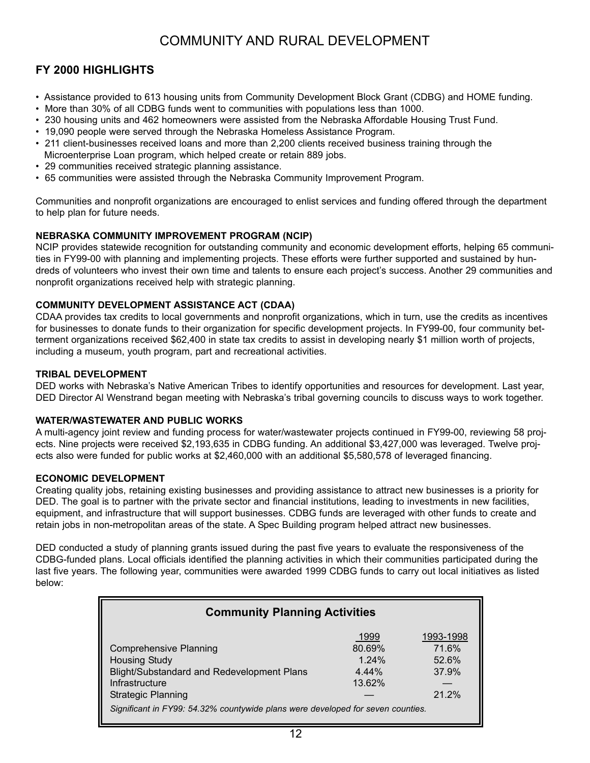## COMMUNITY AND RURAL DEVELOPMENT

### **FY 2000 HIGHLIGHTS**

- Assistance provided to 613 housing units from Community Development Block Grant (CDBG) and HOME funding.
- More than 30% of all CDBG funds went to communities with populations less than 1000.
- 230 housing units and 462 homeowners were assisted from the Nebraska Affordable Housing Trust Fund.
- 19,090 people were served through the Nebraska Homeless Assistance Program.
- 211 client-businesses received loans and more than 2,200 clients received business training through the Microenterprise Loan program, which helped create or retain 889 jobs.
- 29 communities received strategic planning assistance.
- 65 communities were assisted through the Nebraska Community Improvement Program.

Communities and nonprofit organizations are encouraged to enlist services and funding offered through the department to help plan for future needs.

#### **NEBRASKA COMMUNITY IMPROVEMENT PROGRAM (NCIP)**

NCIP provides statewide recognition for outstanding community and economic development efforts, helping 65 communities in FY99-00 with planning and implementing projects. These efforts were further supported and sustained by hundreds of volunteers who invest their own time and talents to ensure each project's success. Another 29 communities and nonprofit organizations received help with strategic planning.

#### **COMMUNITY DEVELOPMENT ASSISTANCE ACT (CDAA)**

CDAA provides tax credits to local governments and nonprofit organizations, which in turn, use the credits as incentives for businesses to donate funds to their organization for specific development projects. In FY99-00, four community betterment organizations received \$62,400 in state tax credits to assist in developing nearly \$1 million worth of projects, including a museum, youth program, part and recreational activities.

#### **TRIBAL DEVELOPMENT**

DED works with Nebraska's Native American Tribes to identify opportunities and resources for development. Last year, DED Director Al Wenstrand began meeting with Nebraska's tribal governing councils to discuss ways to work together.

#### **WATER/WASTEWATER AND PUBLIC WORKS**

A multi-agency joint review and funding process for water/wastewater projects continued in FY99-00, reviewing 58 projects. Nine projects were received \$2,193,635 in CDBG funding. An additional \$3,427,000 was leveraged. Twelve projects also were funded for public works at \$2,460,000 with an additional \$5,580,578 of leveraged financing.

#### **ECONOMIC DEVELOPMENT**

Creating quality jobs, retaining existing businesses and providing assistance to attract new businesses is a priority for DED. The goal is to partner with the private sector and financial institutions, leading to investments in new facilities, equipment, and infrastructure that will support businesses. CDBG funds are leveraged with other funds to create and retain jobs in non-metropolitan areas of the state. A Spec Building program helped attract new businesses.

DED conducted a study of planning grants issued during the past five years to evaluate the responsiveness of the CDBG-funded plans. Local officials identified the planning activities in which their communities participated during the last five years. The following year, communities were awarded 1999 CDBG funds to carry out local initiatives as listed below:

| <b>Community Planning Activities</b>                                            |          |           |  |  |  |  |  |  |  |  |
|---------------------------------------------------------------------------------|----------|-----------|--|--|--|--|--|--|--|--|
|                                                                                 | 1999     | 1993-1998 |  |  |  |  |  |  |  |  |
| <b>Comprehensive Planning</b>                                                   | 80.69%   | 71.6%     |  |  |  |  |  |  |  |  |
| <b>Housing Study</b>                                                            | 1.24%    | 52.6%     |  |  |  |  |  |  |  |  |
| Blight/Substandard and Redevelopment Plans                                      | $4.44\%$ | 37.9%     |  |  |  |  |  |  |  |  |
| Infrastructure                                                                  | 13.62%   |           |  |  |  |  |  |  |  |  |
| <b>Strategic Planning</b>                                                       |          | 21.2%     |  |  |  |  |  |  |  |  |
| Significant in FY99: 54.32% countywide plans were developed for seven counties. |          |           |  |  |  |  |  |  |  |  |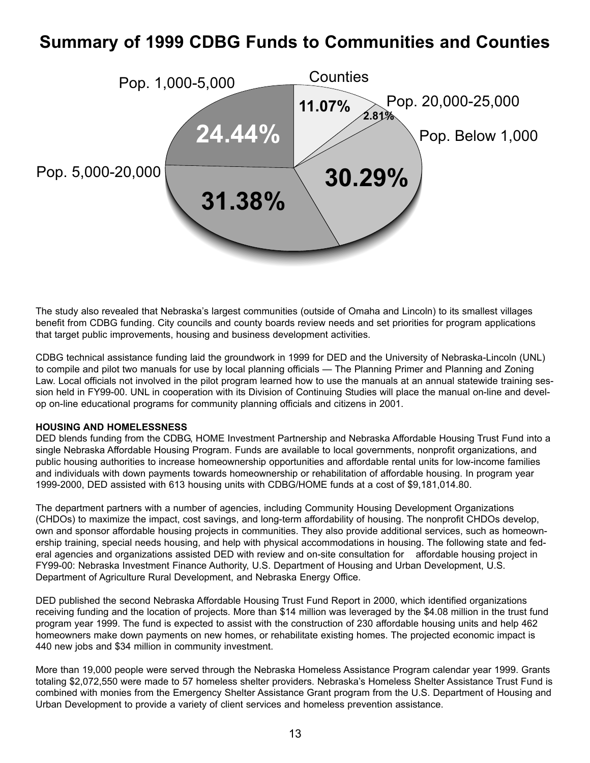## **Summary of 1999 CDBG Funds to Communities and Counties**



The study also revealed that Nebraska's largest communities (outside of Omaha and Lincoln) to its smallest villages benefit from CDBG funding. City councils and county boards review needs and set priorities for program applications that target public improvements, housing and business development activities.

CDBG technical assistance funding laid the groundwork in 1999 for DED and the University of Nebraska-Lincoln (UNL) to compile and pilot two manuals for use by local planning officials — The Planning Primer and Planning and Zoning Law. Local officials not involved in the pilot program learned how to use the manuals at an annual statewide training session held in FY99-00. UNL in cooperation with its Division of Continuing Studies will place the manual on-line and develop on-line educational programs for community planning officials and citizens in 2001.

#### **HOUSING AND HOMELESSNESS**

DED blends funding from the CDBG, HOME Investment Partnership and Nebraska Affordable Housing Trust Fund into a single Nebraska Affordable Housing Program. Funds are available to local governments, nonprofit organizations, and public housing authorities to increase homeownership opportunities and affordable rental units for low-income families and individuals with down payments towards homeownership or rehabilitation of affordable housing. In program year 1999-2000, DED assisted with 613 housing units with CDBG/HOME funds at a cost of \$9,181,014.80.

The department partners with a number of agencies, including Community Housing Development Organizations (CHDOs) to maximize the impact, cost savings, and long-term affordability of housing. The nonprofit CHDOs develop, own and sponsor affordable housing projects in communities. They also provide additional services, such as homeownership training, special needs housing, and help with physical accommodations in housing. The following state and federal agencies and organizations assisted DED with review and on-site consultation for affordable housing project in FY99-00: Nebraska Investment Finance Authority, U.S. Department of Housing and Urban Development, U.S. Department of Agriculture Rural Development, and Nebraska Energy Office.

DED published the second Nebraska Affordable Housing Trust Fund Report in 2000, which identified organizations receiving funding and the location of projects. More than \$14 million was leveraged by the \$4.08 million in the trust fund program year 1999. The fund is expected to assist with the construction of 230 affordable housing units and help 462 homeowners make down payments on new homes, or rehabilitate existing homes. The projected economic impact is 440 new jobs and \$34 million in community investment.

More than 19,000 people were served through the Nebraska Homeless Assistance Program calendar year 1999. Grants totaling \$2,072,550 were made to 57 homeless shelter providers. Nebraska's Homeless Shelter Assistance Trust Fund is combined with monies from the Emergency Shelter Assistance Grant program from the U.S. Department of Housing and Urban Development to provide a variety of client services and homeless prevention assistance.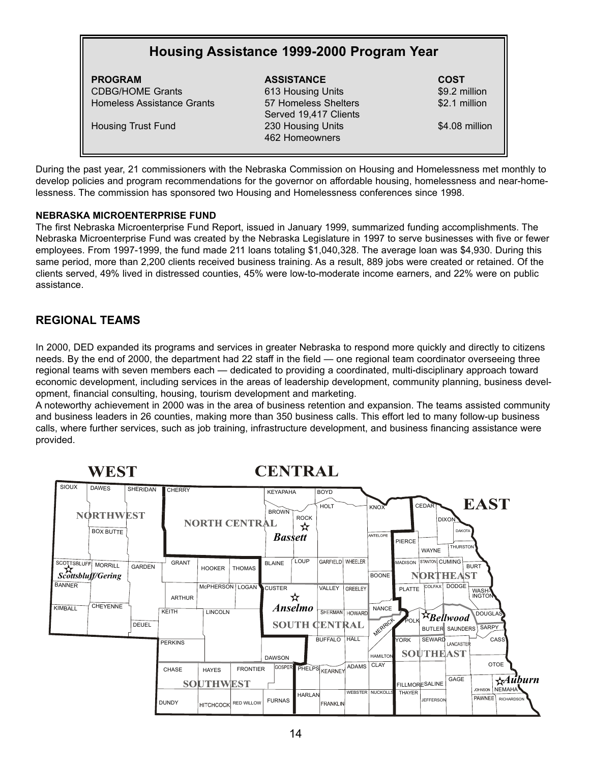## **Housing Assistance 1999-2000 Program Year**

**PROGRAM ASSISTANCE COST** CDBG/HOME Grants 613 Housing Units \$9.2 million Homeless Assistance Grants 67 Homeless Shelters 62.1 million

Served 19,417 Clients Housing Trust Fund 230 Housing Units \$4.08 million 462 Homeowners

During the past year, 21 commissioners with the Nebraska Commission on Housing and Homelessness met monthly to develop policies and program recommendations for the governor on affordable housing, homelessness and near-homelessness. The commission has sponsored two Housing and Homelessness conferences since 1998.

#### **NEBRASKA MICROENTERPRISE FUND**

The first Nebraska Microenterprise Fund Report, issued in January 1999, summarized funding accomplishments. The Nebraska Microenterprise Fund was created by the Nebraska Legislature in 1997 to serve businesses with five or fewer employees. From 1997-1999, the fund made 211 loans totaling \$1,040,328. The average loan was \$4,930. During this same period, more than 2,200 clients received business training. As a result, 889 jobs were created or retained. Of the clients served, 49% lived in distressed counties, 45% were low-to-moderate income earners, and 22% were on public assistance.

#### **REGIONAL TEAMS**

In 2000, DED expanded its programs and services in greater Nebraska to respond more quickly and directly to citizens needs. By the end of 2000, the department had 22 staff in the field — one regional team coordinator overseeing three regional teams with seven members each — dedicated to providing a coordinated, multi-disciplinary approach toward economic development, including services in the areas of leadership development, community planning, business development, financial consulting, housing, tourism development and marketing.

A noteworthy achievement in 2000 was in the area of business retention and expansion. The teams assisted community and business leaders in 26 counties, making more than 350 business calls. This effort led to many follow-up business calls, where further services, such as job training, infrastructure development, and business financing assistance were provided.

|                    | WEST                                 |               |                |                                  |                      | <b>CENTRAL</b>                 |                  |                                        |              |                         |                |                             |                                                  |                                                                |
|--------------------|--------------------------------------|---------------|----------------|----------------------------------|----------------------|--------------------------------|------------------|----------------------------------------|--------------|-------------------------|----------------|-----------------------------|--------------------------------------------------|----------------------------------------------------------------|
| SIOUX              | <b>DAWES</b>                         | SHERIDAN      | <b>CHERRY</b>  |                                  |                      | <b>KEYAPAHA</b>                |                  | <b>BOYD</b>                            |              |                         |                |                             |                                                  |                                                                |
|                    | <b>NORTHWEST</b><br><b>BOX BUTTF</b> |               |                | <b>NORTH CENTRAL</b>             |                      | <b>BROWN</b><br><b>Bassett</b> | <b>ROCK</b><br>☆ | <b>HOLT</b>                            |              | KNOX<br>ANTELOPE        | PIERCE         | CEDART<br>WAYNE             | <b>DIXON</b><br><b>DAKOTA</b><br><b>THURSTON</b> | <b>EAST</b>                                                    |
| <b>SCOTTSBLUFF</b> | <b>MORRILI</b><br>Scottsbluff/Gering | <b>GARDEN</b> | <b>GRANT</b>   | <b>HOOKER</b>                    | <b>THOMAS</b>        | <b>BLAINE</b>                  | LOUP             | GARFIELD WHEELER                       |              | <b>BOONE</b>            | <b>MADISON</b> | STANTON CUMING<br>NORTHEAST |                                                  | <b>BURT</b>                                                    |
| <b>BANNER</b>      |                                      |               | <b>ARTHUR</b>  | McPHERSON   LOGAN                |                      | <b>CUSTER</b>                  | Ħ                | VALLEY                                 | GREELEY      |                         | <b>PLATTE</b>  |                             | COLFAX DODGE                                     | WASH-                                                          |
| KIMBALL            | <b>CHEYENNE</b>                      | <b>DEUEL</b>  | KEITH          | LINCOLN                          |                      |                                | <b>Anselmo</b>   | SHERMAN HOWARD<br><b>SOUTH CENTRAL</b> |              | <b>NANCE</b><br>MERARCH | POLK           | 文Bellwood                   | BUTLER SAUNDERS                                  | <b>DOUGLAS</b><br>SARPY                                        |
|                    |                                      |               | <b>PERKINS</b> |                                  |                      | <b>DAWSON</b>                  |                  | <b>BUFFALO</b>                         | HALL         | <b>HAMILTON</b>         | lyork          | SEWARD<br><b>SOUTHEAST</b>  | LANCASTER                                        | <b>CASS</b>                                                    |
|                    |                                      |               | CHASE          | <b>HAYES</b><br><b>SOUTHWEST</b> | <b>FRONTIER</b>      | GOSPER                         |                  | PHELPS KEARNEY                         | <b>ADAMS</b> | <b>CLAY</b>             |                | <b>FILLMORESALINE</b>       | GAGE                                             | <b>OTOE</b><br>$\star$ <i>Auburn</i>                           |
|                    |                                      |               | <b>DUNDY</b>   |                                  | HITCHCOCK RED WILLOW | <b>FURNAS</b>                  | <b>HARLAN</b>    | FRANKLIN                               |              | <b>WEBSTER NUCKOLLS</b> | THAYER         | JEFFERSON                   |                                                  | NEMAHA<br><b>JOHNSON</b><br><b>PAWNEE</b><br><b>RICHARDSON</b> |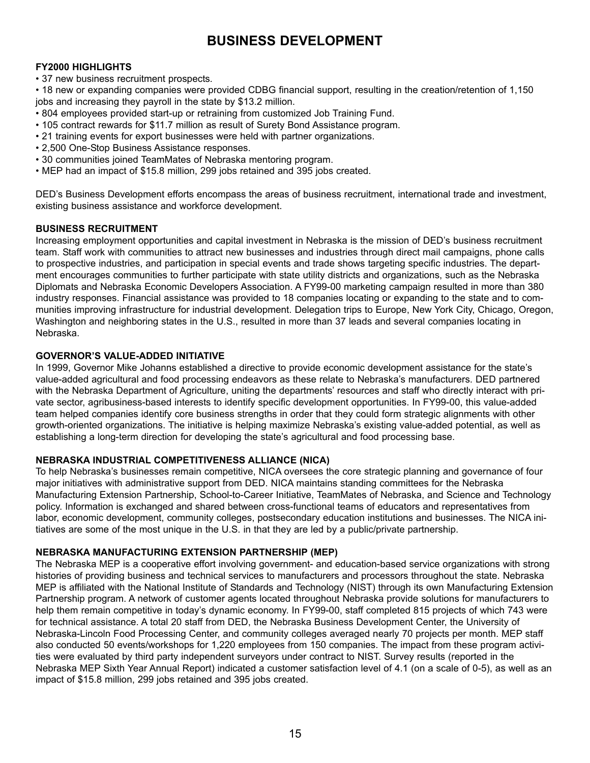## **BUSINESS DEVELOPMENT**

#### **FY2000 HIGHLIGHTS**

• 37 new business recruitment prospects.

• 18 new or expanding companies were provided CDBG financial support, resulting in the creation/retention of 1,150 jobs and increasing they payroll in the state by \$13.2 million.

- 804 employees provided start-up or retraining from customized Job Training Fund.
- 105 contract rewards for \$11.7 million as result of Surety Bond Assistance program.
- 21 training events for export businesses were held with partner organizations.
- 2,500 One-Stop Business Assistance responses.
- 30 communities joined TeamMates of Nebraska mentoring program.
- MEP had an impact of \$15.8 million, 299 jobs retained and 395 jobs created.

DED's Business Development efforts encompass the areas of business recruitment, international trade and investment, existing business assistance and workforce development.

#### **BUSINESS RECRUITMENT**

Increasing employment opportunities and capital investment in Nebraska is the mission of DED's business recruitment team. Staff work with communities to attract new businesses and industries through direct mail campaigns, phone calls to prospective industries, and participation in special events and trade shows targeting specific industries. The department encourages communities to further participate with state utility districts and organizations, such as the Nebraska Diplomats and Nebraska Economic Developers Association. A FY99-00 marketing campaign resulted in more than 380 industry responses. Financial assistance was provided to 18 companies locating or expanding to the state and to communities improving infrastructure for industrial development. Delegation trips to Europe, New York City, Chicago, Oregon, Washington and neighboring states in the U.S., resulted in more than 37 leads and several companies locating in Nebraska.

#### **GOVERNOR'S VALUE-ADDED INITIATIVE**

In 1999, Governor Mike Johanns established a directive to provide economic development assistance for the state's value-added agricultural and food processing endeavors as these relate to Nebraska's manufacturers. DED partnered with the Nebraska Department of Agriculture, uniting the departments' resources and staff who directly interact with private sector, agribusiness-based interests to identify specific development opportunities. In FY99-00, this value-added team helped companies identify core business strengths in order that they could form strategic alignments with other growth-oriented organizations. The initiative is helping maximize Nebraska's existing value-added potential, as well as establishing a long-term direction for developing the state's agricultural and food processing base.

#### **NEBRASKA INDUSTRIAL COMPETITIVENESS ALLIANCE (NICA)**

To help Nebraska's businesses remain competitive, NICA oversees the core strategic planning and governance of four major initiatives with administrative support from DED. NICA maintains standing committees for the Nebraska Manufacturing Extension Partnership, School-to-Career Initiative, TeamMates of Nebraska, and Science and Technology policy. Information is exchanged and shared between cross-functional teams of educators and representatives from labor, economic development, community colleges, postsecondary education institutions and businesses. The NICA initiatives are some of the most unique in the U.S. in that they are led by a public/private partnership.

#### **NEBRASKA MANUFACTURING EXTENSION PARTNERSHIP (MEP)**

The Nebraska MEP is a cooperative effort involving government- and education-based service organizations with strong histories of providing business and technical services to manufacturers and processors throughout the state. Nebraska MEP is affiliated with the National Institute of Standards and Technology (NIST) through its own Manufacturing Extension Partnership program. A network of customer agents located throughout Nebraska provide solutions for manufacturers to help them remain competitive in today's dynamic economy. In FY99-00, staff completed 815 projects of which 743 were for technical assistance. A total 20 staff from DED, the Nebraska Business Development Center, the University of Nebraska-Lincoln Food Processing Center, and community colleges averaged nearly 70 projects per month. MEP staff also conducted 50 events/workshops for 1,220 employees from 150 companies. The impact from these program activities were evaluated by third party independent surveyors under contract to NIST. Survey results (reported in the Nebraska MEP Sixth Year Annual Report) indicated a customer satisfaction level of 4.1 (on a scale of 0-5), as well as an impact of \$15.8 million, 299 jobs retained and 395 jobs created.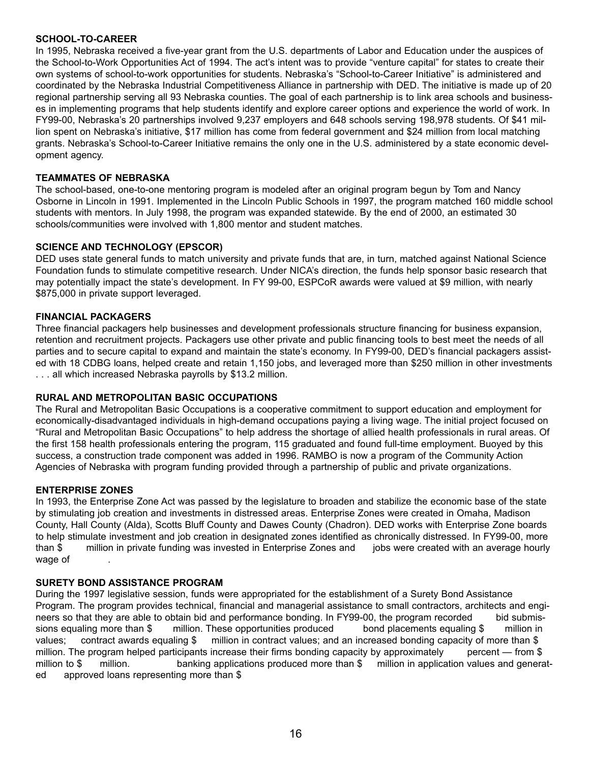#### **SCHOOL-TO-CAREER**

In 1995, Nebraska received a five-year grant from the U.S. departments of Labor and Education under the auspices of the School-to-Work Opportunities Act of 1994. The act's intent was to provide "venture capital" for states to create their own systems of school-to-work opportunities for students. Nebraska's "School-to-Career Initiative" is administered and coordinated by the Nebraska Industrial Competitiveness Alliance in partnership with DED. The initiative is made up of 20 regional partnership serving all 93 Nebraska counties. The goal of each partnership is to link area schools and businesses in implementing programs that help students identify and explore career options and experience the world of work. In FY99-00, Nebraska's 20 partnerships involved 9,237 employers and 648 schools serving 198,978 students. Of \$41 million spent on Nebraska's initiative, \$17 million has come from federal government and \$24 million from local matching grants. Nebraska's School-to-Career Initiative remains the only one in the U.S. administered by a state economic development agency.

#### **TEAMMATES OF NEBRASKA**

The school-based, one-to-one mentoring program is modeled after an original program begun by Tom and Nancy Osborne in Lincoln in 1991. Implemented in the Lincoln Public Schools in 1997, the program matched 160 middle school students with mentors. In July 1998, the program was expanded statewide. By the end of 2000, an estimated 30 schools/communities were involved with 1,800 mentor and student matches.

#### **SCIENCE AND TECHNOLOGY (EPSCOR)**

DED uses state general funds to match university and private funds that are, in turn, matched against National Science Foundation funds to stimulate competitive research. Under NICA's direction, the funds help sponsor basic research that may potentially impact the state's development. In FY 99-00, ESPCoR awards were valued at \$9 million, with nearly \$875,000 in private support leveraged.

#### **FINANCIAL PACKAGERS**

Three financial packagers help businesses and development professionals structure financing for business expansion, retention and recruitment projects. Packagers use other private and public financing tools to best meet the needs of all parties and to secure capital to expand and maintain the state's economy. In FY99-00, DED's financial packagers assisted with 18 CDBG loans, helped create and retain 1,150 jobs, and leveraged more than \$250 million in other investments . . . all which increased Nebraska payrolls by \$13.2 million.

#### **RURAL AND METROPOLITAN BASIC OCCUPATIONS**

The Rural and Metropolitan Basic Occupations is a cooperative commitment to support education and employment for economically-disadvantaged individuals in high-demand occupations paying a living wage. The initial project focused on "Rural and Metropolitan Basic Occupations" to help address the shortage of allied health professionals in rural areas. Of the first 158 health professionals entering the program, 115 graduated and found full-time employment. Buoyed by this success, a construction trade component was added in 1996. RAMBO is now a program of the Community Action Agencies of Nebraska with program funding provided through a partnership of public and private organizations.

#### **ENTERPRISE ZONES**

In 1993, the Enterprise Zone Act was passed by the legislature to broaden and stabilize the economic base of the state by stimulating job creation and investments in distressed areas. Enterprise Zones were created in Omaha, Madison County, Hall County (Alda), Scotts Bluff County and Dawes County (Chadron). DED works with Enterprise Zone boards to help stimulate investment and job creation in designated zones identified as chronically distressed. In FY99-00, more than \$ million in private funding was invested in Enterprise Zones and jobs were created with an average hourly wage of .

#### **SURETY BOND ASSISTANCE PROGRAM**

During the 1997 legislative session, funds were appropriated for the establishment of a Surety Bond Assistance Program. The program provides technical, financial and managerial assistance to small contractors, architects and engineers so that they are able to obtain bid and performance bonding. In FY99-00, the program recorded bid submissions equaling more than \$ million. These opportunities produced bond placements equaling \$ million in values; contract awards equaling \$ million in contract values; and an increased bonding capacity of more than \$ million. The program helped participants increase their firms bonding capacity by approximately percent — from \$ million to \$ million. banking applications produced more than \$ million in application values and generated approved loans representing more than \$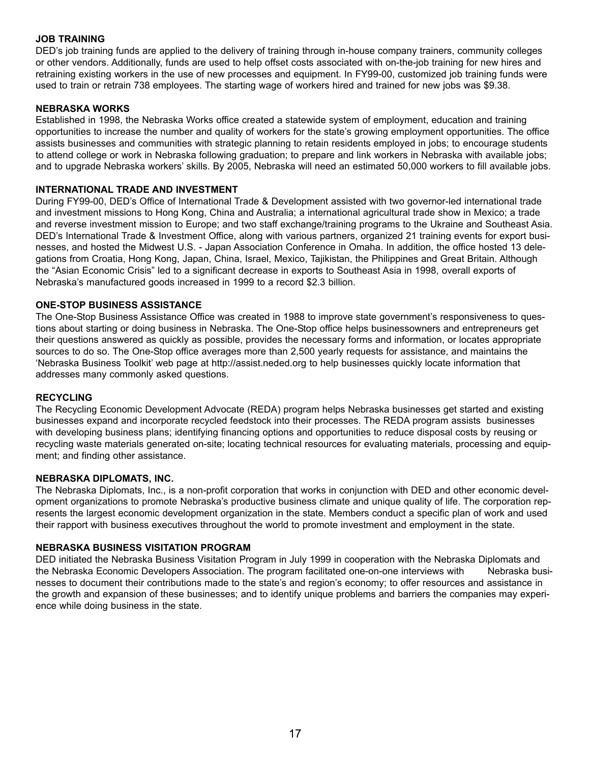#### **JOB TRAINING**

DED's job training funds are applied to the delivery of training through in-house company trainers, community colleges or other vendors. Additionally, funds are used to help offset costs associated with on-the-job training for new hires and retraining existing workers in the use of new processes and equipment. In FY99-00, customized job training funds were used to train or retrain 738 employees. The starting wage of workers hired and trained for new jobs was \$9.38.

#### **NEBRASKA WORKS**

Established in 1998, the Nebraska Works office created a statewide system of employment, education and training opportunities to increase the number and quality of workers for the state's growing employment opportunities. The office assists businesses and communities with strategic planning to retain residents employed in jobs; to encourage students to attend college or work in Nebraska following graduation; to prepare and link workers in Nebraska with available jobs; and to upgrade Nebraska workers' skills. By 2005, Nebraska will need an estimated 50,000 workers to fill available jobs.

#### **INTERNATIONAL TRADE AND INVESTMENT**

During FY99-00, DED's Office of International Trade & Development assisted with two governor-led international trade and investment missions to Hong Kong, China and Australia; a international agricultural trade show in Mexico; a trade and reverse investment mission to Europe; and two staff exchange/training programs to the Ukraine and Southeast Asia. DED's International Trade & Investment Office, along with various partners, organized 21 training events for export businesses, and hosted the Midwest U.S. - Japan Association Conference in Omaha. In addition, the office hosted 13 delegations from Croatia, Hong Kong, Japan, China, Israel, Mexico, Tajikistan, the Philippines and Great Britain. Although the "Asian Economic Crisis" led to a significant decrease in exports to Southeast Asia in 1998, overall exports of Nebraska's manufactured goods increased in 1999 to a record \$2.3 billion.

#### **ONE-STOP BUSINESS ASSISTANCE**

The One-Stop Business Assistance Office was created in 1988 to improve state government's responsiveness to questions about starting or doing business in Nebraska. The One-Stop office helps businessowners and entrepreneurs get their questions answered as quickly as possible, provides the necessary forms and information, or locates appropriate sources to do so. The One-Stop office averages more than 2,500 yearly requests for assistance, and maintains the 'Nebraska Business Toolkit' web page at http://assist.neded.org to help businesses quickly locate information that addresses many commonly asked questions.

#### **RECYCLING**

The Recycling Economic Development Advocate (REDA) program helps Nebraska businesses get started and existing businesses expand and incorporate recycled feedstock into their processes. The REDA program assists businesses with developing business plans; identifying financing options and opportunities to reduce disposal costs by reusing or recycling waste materials generated on-site; locating technical resources for evaluating materials, processing and equipment; and finding other assistance.

#### **NEBRASKA DIPLOMATS, INC.**

The Nebraska Diplomats, Inc., is a non-profit corporation that works in conjunction with DED and other economic development organizations to promote Nebraska's productive business climate and unique quality of life. The corporation represents the largest economic development organization in the state. Members conduct a specific plan of work and used their rapport with business executives throughout the world to promote investment and employment in the state.

#### **NEBRASKA BUSINESS VISITATION PROGRAM**

DED initiated the Nebraska Business Visitation Program in July 1999 in cooperation with the Nebraska Diplomats and the Nebraska Economic Developers Association. The program facilitated one-on-one interviews with Nebraska businesses to document their contributions made to the state's and region's economy; to offer resources and assistance in the growth and expansion of these businesses; and to identify unique problems and barriers the companies may experience while doing business in the state.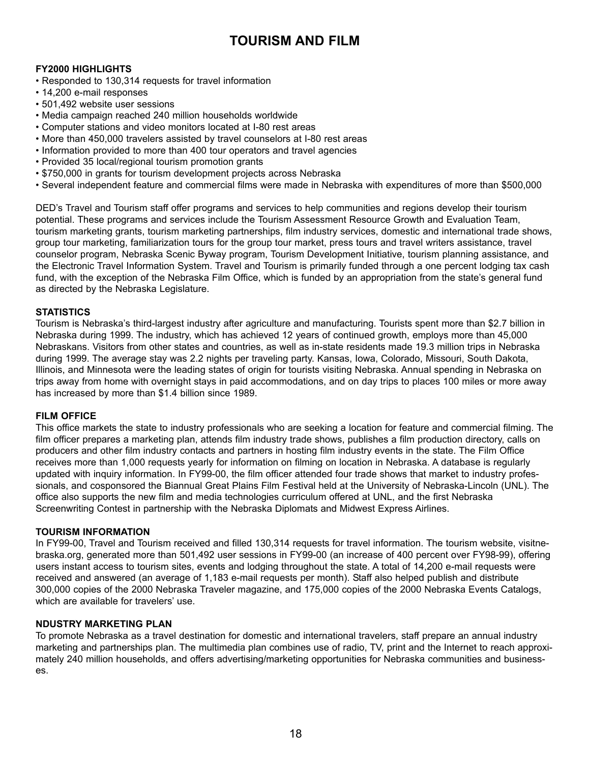## **TOURISM AND FILM**

#### **FY2000 HIGHLIGHTS**

- Responded to 130,314 requests for travel information
- 14,200 e-mail responses
- 501,492 website user sessions
- Media campaign reached 240 million households worldwide
- Computer stations and video monitors located at I-80 rest areas
- More than 450,000 travelers assisted by travel counselors at I-80 rest areas
- Information provided to more than 400 tour operators and travel agencies
- Provided 35 local/regional tourism promotion grants
- \$750,000 in grants for tourism development projects across Nebraska
- Several independent feature and commercial films were made in Nebraska with expenditures of more than \$500,000

DED's Travel and Tourism staff offer programs and services to help communities and regions develop their tourism potential. These programs and services include the Tourism Assessment Resource Growth and Evaluation Team, tourism marketing grants, tourism marketing partnerships, film industry services, domestic and international trade shows, group tour marketing, familiarization tours for the group tour market, press tours and travel writers assistance, travel counselor program, Nebraska Scenic Byway program, Tourism Development Initiative, tourism planning assistance, and the Electronic Travel Information System. Travel and Tourism is primarily funded through a one percent lodging tax cash fund, with the exception of the Nebraska Film Office, which is funded by an appropriation from the state's general fund as directed by the Nebraska Legislature.

#### **STATISTICS**

Tourism is Nebraska's third-largest industry after agriculture and manufacturing. Tourists spent more than \$2.7 billion in Nebraska during 1999. The industry, which has achieved 12 years of continued growth, employs more than 45,000 Nebraskans. Visitors from other states and countries, as well as in-state residents made 19.3 million trips in Nebraska during 1999. The average stay was 2.2 nights per traveling party. Kansas, Iowa, Colorado, Missouri, South Dakota, Illinois, and Minnesota were the leading states of origin for tourists visiting Nebraska. Annual spending in Nebraska on trips away from home with overnight stays in paid accommodations, and on day trips to places 100 miles or more away has increased by more than \$1.4 billion since 1989.

#### **FILM OFFICE**

This office markets the state to industry professionals who are seeking a location for feature and commercial filming. The film officer prepares a marketing plan, attends film industry trade shows, publishes a film production directory, calls on producers and other film industry contacts and partners in hosting film industry events in the state. The Film Office receives more than 1,000 requests yearly for information on filming on location in Nebraska. A database is regularly updated with inquiry information. In FY99-00, the film officer attended four trade shows that market to industry professionals, and cosponsored the Biannual Great Plains Film Festival held at the University of Nebraska-Lincoln (UNL). The office also supports the new film and media technologies curriculum offered at UNL, and the first Nebraska Screenwriting Contest in partnership with the Nebraska Diplomats and Midwest Express Airlines.

#### **TOURISM INFORMATION**

In FY99-00, Travel and Tourism received and filled 130,314 requests for travel information. The tourism website, visitnebraska.org, generated more than 501,492 user sessions in FY99-00 (an increase of 400 percent over FY98-99), offering users instant access to tourism sites, events and lodging throughout the state. A total of 14,200 e-mail requests were received and answered (an average of 1,183 e-mail requests per month). Staff also helped publish and distribute 300,000 copies of the 2000 Nebraska Traveler magazine, and 175,000 copies of the 2000 Nebraska Events Catalogs, which are available for travelers' use.

#### **NDUSTRY MARKETING PLAN**

To promote Nebraska as a travel destination for domestic and international travelers, staff prepare an annual industry marketing and partnerships plan. The multimedia plan combines use of radio, TV, print and the Internet to reach approximately 240 million households, and offers advertising/marketing opportunities for Nebraska communities and businesses.